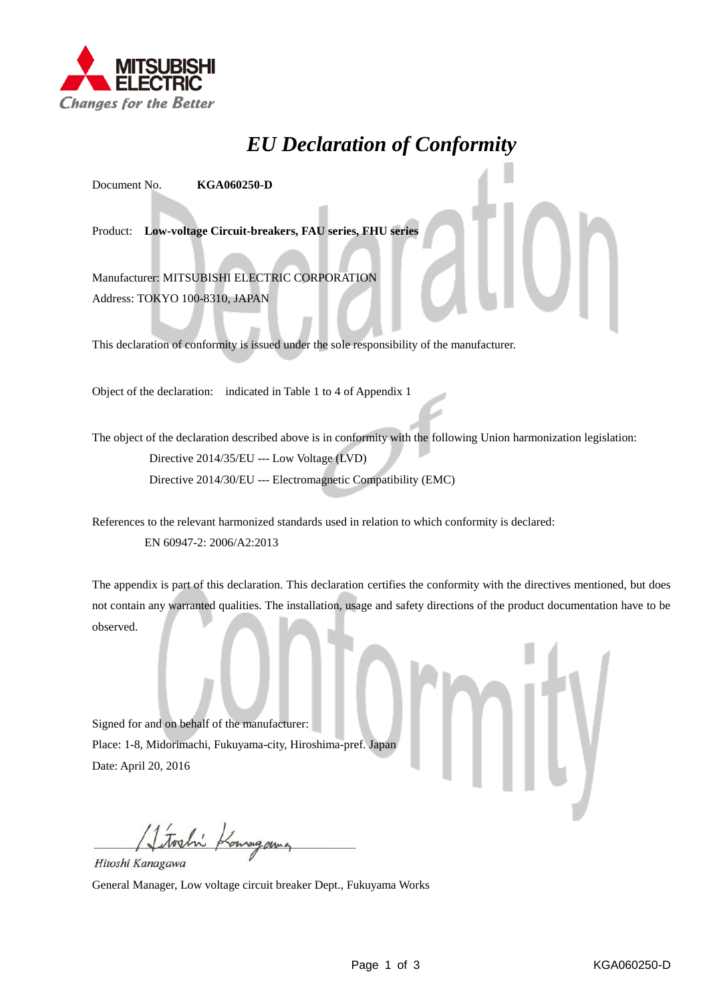

## *EU Declaration of Conformity*

Document No. **KGA060250-D**

Product: **Low-voltage Circuit-breakers, FAU series, FHU series**

Manufacturer: MITSUBISHI ELECTRIC CORPORATION Address: TOKYO 100-8310, JAPAN

This declaration of conformity is issued under the sole responsibility of the manufacturer.

Object of the declaration: indicated in Table 1 to 4 of Appendix 1

The object of the declaration described above is in conformity with the following Union harmonization legislation: Directive 2014/35/EU --- Low Voltage (LVD) Directive 2014/30/EU --- Electromagnetic Compatibility (EMC)

References to the relevant harmonized standards used in relation to which conformity is declared: EN 60947-2: 2006/A2:2013

The appendix is part of this declaration. This declaration certifies the conformity with the directives mentioned, but does not contain any warranted qualities. The installation, usage and safety directions of the product documentation have to be observed.

Signed for and on behalf of the manufacturer: Place: 1-8, Midorimachi, Fukuyama-city, Hiroshima-pref. Japan Date: April 20, 2016

Itoshi Kongan Hitoshi Kanagawa

General Manager, Low voltage circuit breaker Dept., Fukuyama Works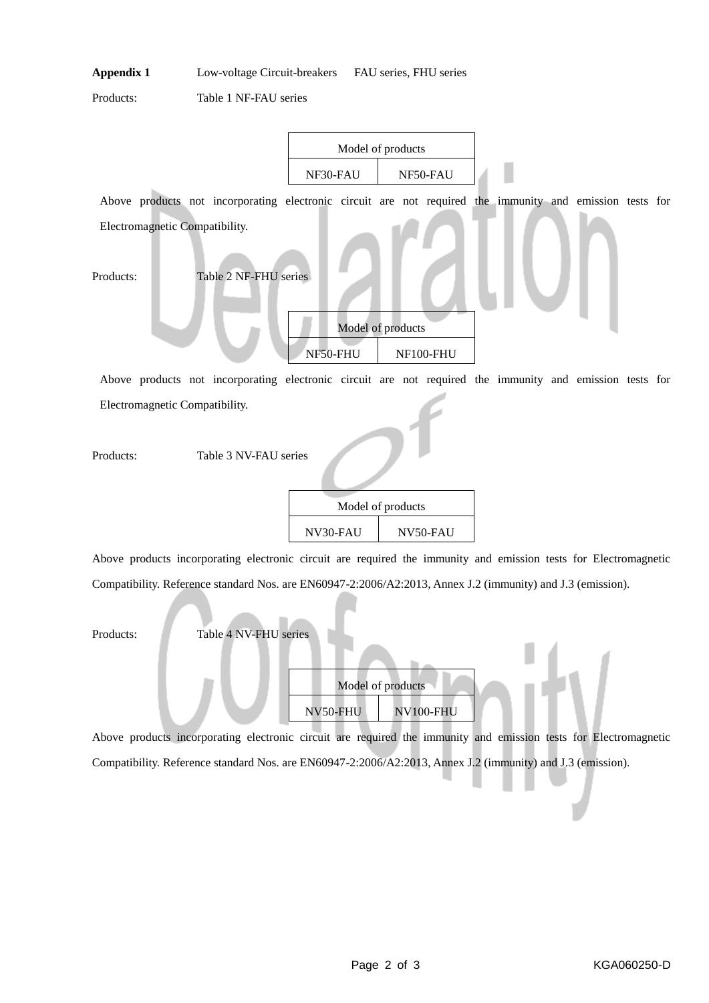Products: Table 1 NF-FAU series

|                                                                                                          | Model of products |                   |  |  |
|----------------------------------------------------------------------------------------------------------|-------------------|-------------------|--|--|
|                                                                                                          | NF30-FAU          | NF50-FAU          |  |  |
| Above products not incorporating electronic circuit are not required the immunity and emission tests for |                   |                   |  |  |
| Electromagnetic Compatibility.                                                                           |                   |                   |  |  |
|                                                                                                          |                   |                   |  |  |
| Table 2 NF-FHU series<br>Products:                                                                       |                   |                   |  |  |
|                                                                                                          |                   |                   |  |  |
|                                                                                                          |                   | Model of products |  |  |
|                                                                                                          | NF50-FHU          | NF100-FHU         |  |  |
|                                                                                                          |                   |                   |  |  |

Above products not incorporating electronic circuit are not required the immunity and emission tests for Electromagnetic Compatibility.

Products: Table 3 NV-FAU series

| Model of products |          |  |
|-------------------|----------|--|
| NV30-FAU          | NV50-FAU |  |

Above products incorporating electronic circuit are required the immunity and emission tests for Electromagnetic Compatibility. Reference standard Nos. are EN60947-2:2006/A2:2013, Annex J.2 (immunity) and J.3 (emission).

| Products: | Table 4 NV-FHU series |          |                   |  |  |
|-----------|-----------------------|----------|-------------------|--|--|
|           |                       |          |                   |  |  |
|           |                       |          | Model of products |  |  |
|           |                       | NV50-FHU | NV100-FHU         |  |  |

Above products incorporating electronic circuit are required the immunity and emission tests for Electromagnetic Compatibility. Reference standard Nos. are EN60947-2:2006/A2:2013, Annex J.2 (immunity) and J.3 (emission).